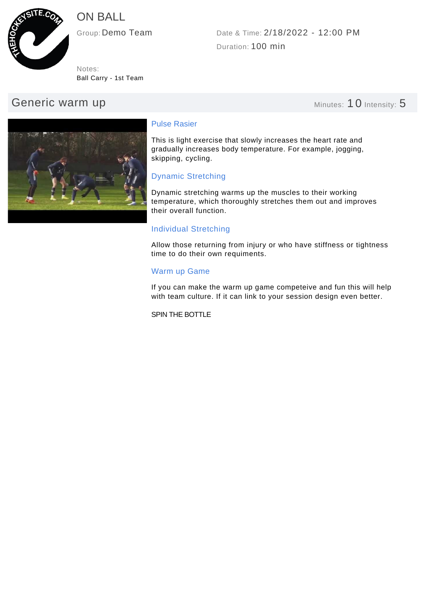

# ON BALL

Ball Carry - 1st Team Notes:

# Generic warm up **Minutes: 10 Intensity: 5**

Duration: 100 min Group: Demo Team Date & Time: 2/18/2022 - 12:00 PM



# Pulse Rasier

This is light exercise that slowly increases the heart rate and gradually increases body temperature. For example, jogging, skipping, cycling.

# Dynamic Stretching

Dynamic stretching warms up the muscles to their working temperature, which thoroughly stretches them out and improves their overall function.

# Individual Stretching

Allow those returning from injury or who have stiffness or tightness time to do their own requiments.

# Warm up Game

If you can make the warm up game competeive and fun this will help with team culture. If it can link to your session design even better.

SPIN THE BOTTLE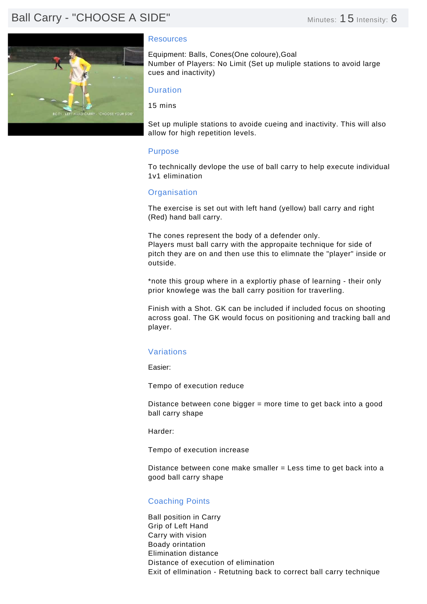# Ball Carry - "CHOOSE A SIDE" Minutes: 15 Intensity: 6



### Resources

Equipment: Balls, Cones(One coloure),Goal Number of Players: No Limit (Set up muliple stations to avoid large cues and inactivity)

## Duration

15 mins

Set up muliple stations to avoide cueing and inactivity. This will also allow for high repetition levels.

#### Purpose

To technically devlope the use of ball carry to help execute individual 1v1 elimination

## **Organisation**

The exercise is set out with left hand (yellow) ball carry and right (Red) hand ball carry.

The cones represent the body of a defender only. Players must ball carry with the appropaite technique for side of pitch they are on and then use this to elimnate the "player" inside or outside.

\*note this group where in a explortiy phase of learning - their only prior knowlege was the ball carry position for traverling.

Finish with a Shot. GK can be included if included focus on shooting across goal. The GK would focus on positioning and tracking ball and player.

# Variations

Easier:

Tempo of execution reduce

Distance between cone bigger = more time to get back into a good ball carry shape

Harder:

Tempo of execution increase

Distance between cone make smaller = Less time to get back into a good ball carry shape

# Coaching Points

Ball position in Carry Grip of Left Hand Carry with vision Boady orintation Elimination distance Distance of execution of elimination Exit of ellmination - Retutning back to correct ball carry technique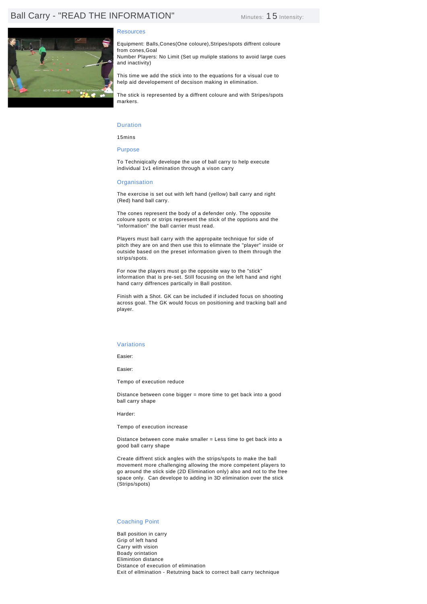# Ball Carry - "READ THE INFORMATION" Minutes: 15 Intensity:



#### **Resources**

Equipment: Balls,Cones(One coloure),Stripes/spots diffrent coloure from cones,Goal

Number Players: No Limit (Set up muliple stations to avoid large cues and inactivity)

This time we add the stick into to the equations for a visual cue to help aid developement of decsison making in elimination.

The stick is represented by a diffrent coloure and with Stripes/spots markers.

#### Duration

15mins

Purpose

To Techniqically develope the use of ball carry to help execute individual 1v1 elimination through a vison carry

#### **Organisation**

The exercise is set out with left hand (yellow) ball carry and right (Red) hand ball carry.

The cones represent the body of a defender only. The opposite coloure spots or strips represent the stick of the opptions and the "information" the ball carrier must read.

Players must ball carry with the appropaite technique for side of pitch they are on and then use this to elimnate the "player" inside or outside based on the preset information given to them through the strips/spots.

For now the players must go the opposite way to the "stick" information that is pre-set. Still focusing on the left hand and right hand carry diffrences partically in Ball postiton.

Finish with a Shot. GK can be included if included focus on shooting across goal. The GK would focus on positioning and tracking ball and player.

#### Variations

Easier:

Easier:

Tempo of execution reduce

Distance between cone bigger = more time to get back into a good ball carry shape

Harder:

Tempo of execution increase

Distance between cone make smaller = Less time to get back into a good ball carry shape

Create diffrent stick angles with the strips/spots to make the ball movement more challenging allowing the more competent players to go around the stick side (2D Elimination only) also and not to the free space only. Can develope to adding in 3D elimination over the stick (Strips/spots)

#### Coaching Point

Ball position in carry Grip of left hand Carry with vision Boady orintation Elimintion distance Distance of execution of elimination Exit of ellmination - Retutning back to correct ball carry technique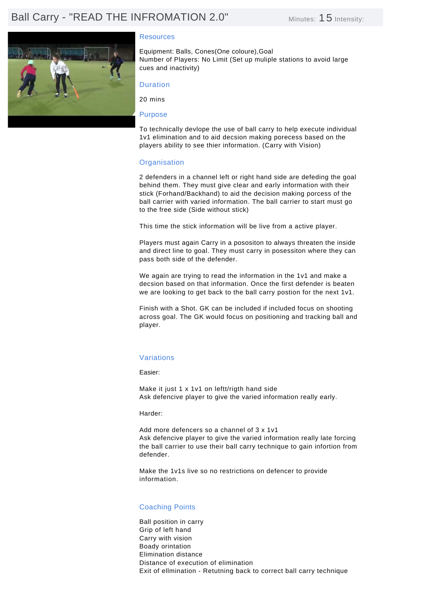# Ball Carry - "READ THE INFROMATION 2.0" Minutes: 15 Intensity:



# **Resources**

Equipment: Balls, Cones(One coloure),Goal Number of Players: No Limit (Set up muliple stations to avoid large cues and inactivity)

# Duration

20 mins

#### Purpose

To technically devlope the use of ball carry to help execute individual 1v1 elimination and to aid decsion making porecess based on the players ability to see thier information. (Carry with Vision)

#### **Organisation**

2 defenders in a channel left or right hand side are defeding the goal behind them. They must give clear and early information with their stick (Forhand/Backhand) to aid the decision making porcess of the ball carrier with varied information. The ball carrier to start must go to the free side (Side without stick)

This time the stick information will be live from a active player.

Players must again Carry in a posositon to always threaten the inside and direct line to goal. They must carry in posessiton where they can pass both side of the defender.

We again are trying to read the information in the 1v1 and make a decsion based on that information. Once the first defender is beaten we are looking to get back to the ball carry postion for the next 1v1.

Finish with a Shot. GK can be included if included focus on shooting across goal. The GK would focus on positioning and tracking ball and player.

### Variations

Easier:

Make it just 1 x 1v1 on leftt/rigth hand side Ask defencive player to give the varied information really early.

Harder:

Add more defencers so a channel of 3 x 1v1 Ask defencive player to give the varied information really late forcing the ball carrier to use their ball carry technique to gain infortion from defender.

Make the 1v1s live so no restrictions on defencer to provide information.

### Coaching Points

Ball position in carry Grip of left hand Carry with vision Boady orintation Elimination distance Distance of execution of elimination Exit of ellmination - Retutning back to correct ball carry technique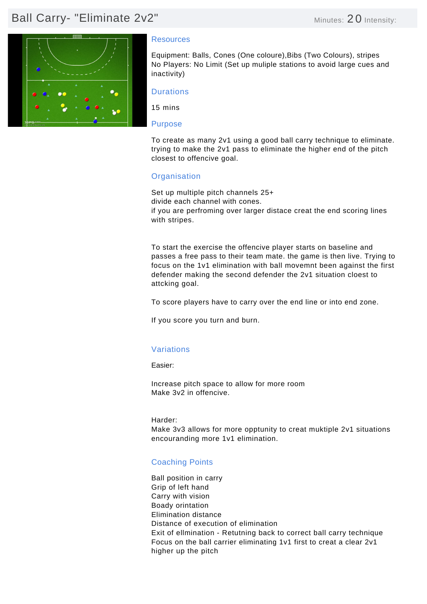# Ball Carry- "Eliminate 2v2" Minutes: 20 Intensity:



### Resources

Equipment: Balls, Cones (One coloure),Bibs (Two Colours), stripes No Players: No Limit (Set up muliple stations to avoid large cues and inactivity)

# **Durations**

15 mins

### Purpose

To create as many 2v1 using a good ball carry technique to eliminate. trying to make the 2v1 pass to eliminate the higher end of the pitch closest to offencive goal.

# **Organisation**

Set up multiple pitch channels 25+ divide each channel with cones. if you are perfroming over larger distace creat the end scoring lines with stripes.

To start the exercise the offencive player starts on baseline and passes a free pass to their team mate. the game is then live. Trying to focus on the 1v1 elimination with ball movemnt been against the first defender making the second defender the 2v1 situation cloest to attcking goal.

To score players have to carry over the end line or into end zone.

If you score you turn and burn.

# Variations

Easier:

Increase pitch space to allow for more room Make 3v2 in offencive.

Harder: Make 3v3 allows for more opptunity to creat muktiple 2v1 situations encouranding more 1v1 elimination.

# Coaching Points

Ball position in carry Grip of left hand Carry with vision Boady orintation Elimination distance Distance of execution of elimination Exit of ellmination - Retutning back to correct ball carry technique Focus on the ball carrier eliminating 1v1 first to creat a clear 2v1 higher up the pitch